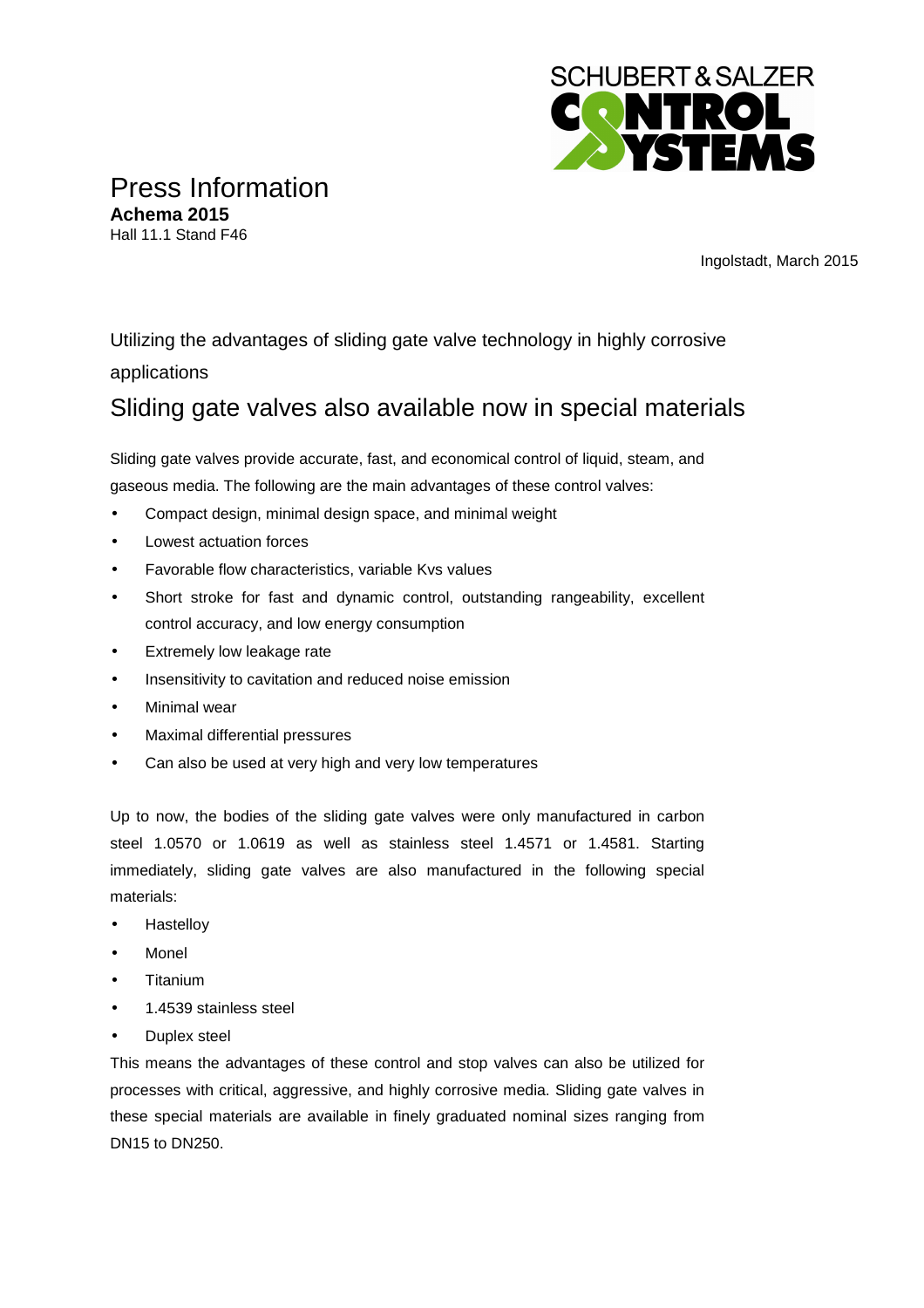

Press Information **Achema 2015**  Hall 11.1 Stand F46

Ingolstadt, March 2015

Utilizing the advantages of sliding gate valve technology in highly corrosive applications

## Sliding gate valves also available now in special materials

Sliding gate valves provide accurate, fast, and economical control of liquid, steam, and gaseous media. The following are the main advantages of these control valves:

- Compact design, minimal design space, and minimal weight
- Lowest actuation forces
- Favorable flow characteristics, variable Kvs values
- Short stroke for fast and dynamic control, outstanding rangeability, excellent control accuracy, and low energy consumption
- Extremely low leakage rate
- Insensitivity to cavitation and reduced noise emission
- Minimal wear
- Maximal differential pressures
- Can also be used at very high and very low temperatures

Up to now, the bodies of the sliding gate valves were only manufactured in carbon steel 1.0570 or 1.0619 as well as stainless steel 1.4571 or 1.4581. Starting immediately, sliding gate valves are also manufactured in the following special materials:

- **Hastellov**
- Monel
- **Titanium**
- 1.4539 stainless steel
- Duplex steel

This means the advantages of these control and stop valves can also be utilized for processes with critical, aggressive, and highly corrosive media. Sliding gate valves in these special materials are available in finely graduated nominal sizes ranging from DN15 to DN250.